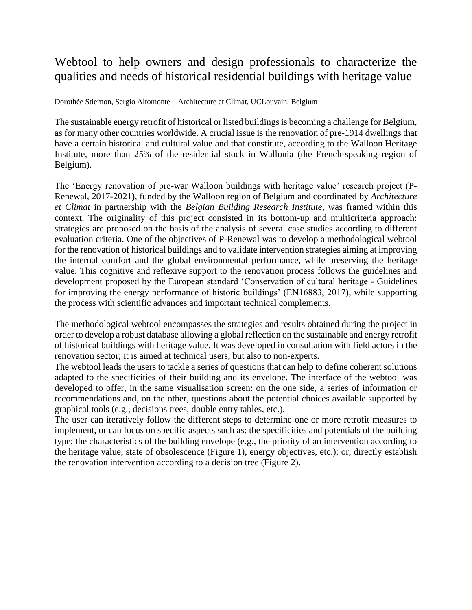## Webtool to help owners and design professionals to characterize the qualities and needs of historical residential buildings with heritage value

Dorothée Stiernon, Sergio Altomonte – Architecture et Climat, UCLouvain, Belgium

The sustainable energy retrofit of historical or listed buildings is becoming a challenge for Belgium, as for many other countries worldwide. A crucial issue is the renovation of pre-1914 dwellings that have a certain historical and cultural value and that constitute, according to the Walloon Heritage Institute, more than 25% of the residential stock in Wallonia (the French-speaking region of Belgium).

The 'Energy renovation of pre-war Walloon buildings with heritage value' research project (P-Renewal, 2017-2021), funded by the Walloon region of Belgium and coordinated by *Architecture et Climat* in partnership with the *Belgian Building Research Institute*, was framed within this context. The originality of this project consisted in its bottom-up and multicriteria approach: strategies are proposed on the basis of the analysis of several case studies according to different evaluation criteria. One of the objectives of P-Renewal was to develop a methodological webtool for the renovation of historical buildings and to validate intervention strategies aiming at improving the internal comfort and the global environmental performance, while preserving the heritage value. This cognitive and reflexive support to the renovation process follows the guidelines and development proposed by the European standard 'Conservation of cultural heritage - Guidelines for improving the energy performance of historic buildings' (EN16883, 2017), while supporting the process with scientific advances and important technical complements.

The methodological webtool encompasses the strategies and results obtained during the project in order to develop a robust database allowing a global reflection on the sustainable and energy retrofit of historical buildings with heritage value. It was developed in consultation with field actors in the renovation sector; it is aimed at technical users, but also to non-experts.

The webtool leads the users to tackle a series of questions that can help to define coherent solutions adapted to the specificities of their building and its envelope. The interface of the webtool was developed to offer, in the same visualisation screen: on the one side, a series of information or recommendations and, on the other, questions about the potential choices available supported by graphical tools (e.g., decisions trees, double entry tables, etc.).

The user can iteratively follow the different steps to determine one or more retrofit measures to implement, or can focus on specific aspects such as: the specificities and potentials of the building type; the characteristics of the building envelope (e.g., the priority of an intervention according to the heritage value, state of obsolescence (Figure 1), energy objectives, etc.); or, directly establish the renovation intervention according to a decision tree (Figure 2).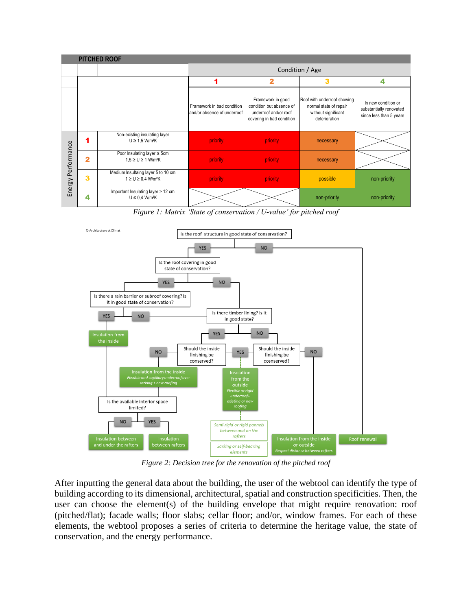| <b>PITCHED ROOF</b> |                         |                                                                            |                                                           |                                                                                                     |                                                                                               |                                                                           |
|---------------------|-------------------------|----------------------------------------------------------------------------|-----------------------------------------------------------|-----------------------------------------------------------------------------------------------------|-----------------------------------------------------------------------------------------------|---------------------------------------------------------------------------|
|                     |                         |                                                                            | Condition / Age                                           |                                                                                                     |                                                                                               |                                                                           |
|                     |                         |                                                                            |                                                           | 2                                                                                                   | 3                                                                                             | 4                                                                         |
| Energy Performance  |                         |                                                                            | Framework in bad condition<br>and/or absence of underroof | Framework in good<br>condition but absence of<br>underroof and/or roof<br>covering in bad condition | Roof with underroof showing<br>normal state of repair<br>without significant<br>deterioration | In new condition or<br>substantially renovated<br>since less than 5 years |
|                     | 1                       | Non-existing insulating layer<br>$U \ge 1.5$ W/m <sup>2</sup> K            | priority                                                  | priority                                                                                            | necessary                                                                                     |                                                                           |
|                     | $\overline{2}$          | Poor Insulating layer $\leq$ 5cm<br>$1.5 \ge U \ge 1$ W/m <sup>2</sup> K   | priority                                                  | priority                                                                                            | necessary                                                                                     |                                                                           |
|                     | $\overline{\mathbf{3}}$ | Medium Insultaing layer 5 to 10 cm<br>$1 \ge U \ge 0.4$ W/m <sup>2</sup> K | priority                                                  | priority                                                                                            | possible                                                                                      | non-priority                                                              |
|                     | 4                       | Important Insulating layer > 12 cm<br>$U \leq 0.4$ W/m <sup>2</sup> K      |                                                           |                                                                                                     | non-priority                                                                                  | non-priority                                                              |

*Figure 1: Matrix 'State of conservation / U-value' for pitched roof*



*Figure 2: Decision tree for the renovation of the pitched roof*

After inputting the general data about the building, the user of the webtool can identify the type of building according to its dimensional, architectural, spatial and construction specificities. Then, the user can choose the element(s) of the building envelope that might require renovation: roof (pitched/flat); facade walls; floor slabs; cellar floor; and/or, window frames. For each of these elements, the webtool proposes a series of criteria to determine the heritage value, the state of conservation, and the energy performance.